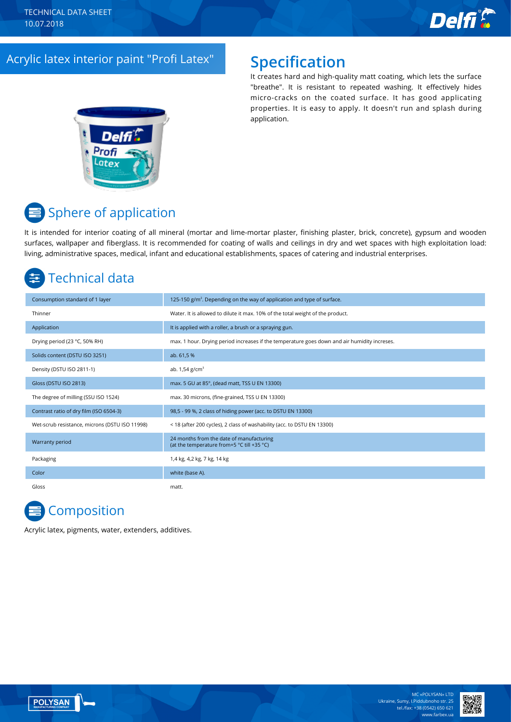

### Acrylic latex interior paint "Profi Latex" **Specification**

It creates hard and high-quality matt coating, which lets the surface "breathe". It is resistant to repeated washing. It effectively hides micro-cracks on the coated surface. It has good applicating properties. It is easy to apply. It doesn't run and splash during application.



# **■** Sphere of application

It is intended for interior coating of all mineral (mortar and lime-mortar plaster, finishing plaster, brick, concrete), gypsum and wooden surfaces, wallpaper and fiberglass. It is recommended for coating of walls and ceilings in dry and wet spaces with high exploitation load: living, administrative spaces, medical, infant and educational establishments, spaces of catering and industrial enterprises.

# Technical data

| Consumption standard of 1 layer                | 125-150 $g/m2$ . Depending on the way of application and type of surface.                    |
|------------------------------------------------|----------------------------------------------------------------------------------------------|
| Thinner                                        | Water. It is allowed to dilute it max. 10% of the total weight of the product.               |
| Application                                    | It is applied with a roller, a brush or a spraying gun.                                      |
| Drying period (23 °C, 50% RH)                  | max. 1 hour. Drying period increases if the temperature goes down and air humidity increses. |
| Solids content (DSTU ISO 3251)                 | ab. 61,5 %                                                                                   |
| Density (DSTU ISO 2811-1)                      | ab. $1,54$ g/cm <sup>3</sup>                                                                 |
| Gloss (DSTU ISO 2813)                          | max. 5 GU at 85°, (dead matt, TSS U EN 13300)                                                |
| The degree of milling (SSU ISO 1524)           | max. 30 microns, (fine-grained, TSS U EN 13300)                                              |
| Contrast ratio of dry film (ISO 6504-3)        | 98,5 - 99 %, 2 class of hiding power (acc. to DSTU EN 13300)                                 |
| Wet-scrub resistance, microns (DSTU ISO 11998) | < 18 (after 200 cycles), 2 class of washability (acc. to DSTU EN 13300)                      |
| Warranty period                                | 24 months from the date of manufacturing<br>(at the temperature from+5 °C till +35 °C)       |
| Packaging                                      | 1,4 kg, 4,2 kg, 7 kg, 14 kg                                                                  |
| Color                                          | white (base A).                                                                              |
| Gloss                                          | matt.                                                                                        |

# **Composition**

Acrylic latex, pigments, water, extenders, additives.